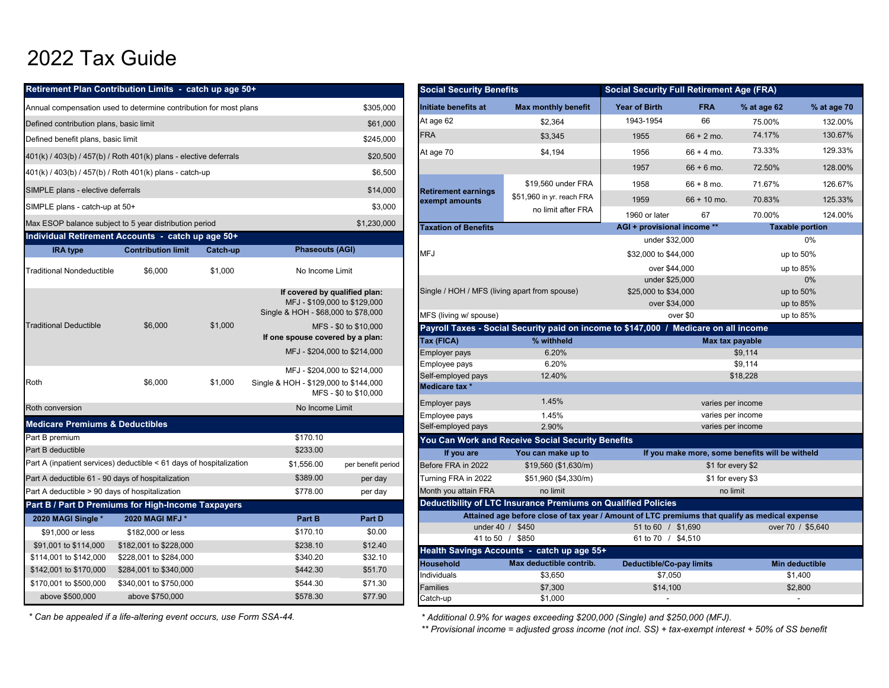## 2022 Tax Guide

|                                                        | Retirement Plan Contribution Limits - catch up age 50+                   |          |                                       |                              | <b>Social Security Benefits</b>               |                                                                                      | <b>Social Security Full Retirement Age (FRA)</b>        |                                     |                                        |
|--------------------------------------------------------|--------------------------------------------------------------------------|----------|---------------------------------------|------------------------------|-----------------------------------------------|--------------------------------------------------------------------------------------|---------------------------------------------------------|-------------------------------------|----------------------------------------|
|                                                        | Annual compensation used to determine contribution for most plans        |          |                                       | \$305,000                    | Initiate benefits at                          | <b>Max monthly benefit</b>                                                           | <b>Year of Birth</b>                                    | <b>FRA</b>                          | % at age (                             |
| Defined contribution plans, basic limit                |                                                                          |          |                                       | \$61,000                     | At age 62                                     | \$2.364                                                                              | 1943-1954                                               | 66                                  | 75.00%                                 |
| Defined benefit plans, basic limit                     |                                                                          |          |                                       | \$245,000                    | <b>FRA</b>                                    | \$3,345                                                                              | 1955                                                    | $66 + 2$ mo.                        | 74.17%                                 |
|                                                        | 401(k) / 403(b) / 457(b) / Roth 401(k) plans - elective deferrals        |          |                                       | \$20,500                     | At age 70                                     | \$4,194                                                                              | 1956                                                    | $66 + 4$ mo.                        | 73.339                                 |
|                                                        | 401(k) / 403(b) / 457(b) / Roth 401(k) plans - catch-up                  |          |                                       | \$6,500                      |                                               |                                                                                      | 1957                                                    | $66 + 6$ mo.                        | 72.50%                                 |
|                                                        |                                                                          |          |                                       |                              |                                               | \$19,560 under FRA                                                                   | 1958                                                    | $66 + 8$ mo.                        | 71.67%                                 |
| SIMPLE plans - elective deferrals                      |                                                                          |          |                                       | \$14,000                     | <b>Retirement earnings</b><br>exempt amounts  | \$51,960 in yr. reach FRA                                                            | 1959                                                    | $66 + 10$ mo.                       | 70.83%                                 |
| SIMPLE plans - catch-up at 50+                         |                                                                          |          |                                       | \$3,000                      |                                               | no limit after FRA                                                                   | 1960 or later                                           | 67                                  | 70.00%                                 |
| Max ESOP balance subject to 5 year distribution period |                                                                          |          |                                       | \$1,230,000                  | <b>Taxation of Benefits</b>                   |                                                                                      | AGI + provisional income **                             |                                     | Ъ                                      |
| Individual Retirement Accounts - catch up age 50+      |                                                                          |          |                                       |                              |                                               |                                                                                      | under \$32,000                                          |                                     |                                        |
| <b>IRA</b> type                                        | <b>Contribution limit</b>                                                | Catch-up | <b>Phaseouts (AGI)</b>                |                              | <b>MFJ</b>                                    |                                                                                      | \$32,000 to \$44,000                                    |                                     |                                        |
| <b>Traditional Nondeductible</b>                       | \$6,000                                                                  | \$1,000  | No Income Limit                       |                              |                                               |                                                                                      | over \$44,000                                           |                                     |                                        |
|                                                        |                                                                          |          | If covered by qualified plan:         | MFJ - \$109,000 to \$129,000 | Single / HOH / MFS (living apart from spouse) |                                                                                      | under \$25,000<br>\$25,000 to \$34,000<br>over \$34,000 |                                     |                                        |
|                                                        |                                                                          |          | Single & HOH - \$68,000 to \$78,000   |                              | MFS (living w/ spouse)                        |                                                                                      |                                                         | over \$0                            |                                        |
| <b>Traditional Deductible</b>                          | \$6,000                                                                  | \$1,000  |                                       | MFS - \$0 to \$10,000        |                                               | Payroll Taxes - Social Security paid on income to \$147,000 / Medicare on all income |                                                         |                                     |                                        |
|                                                        |                                                                          |          | If one spouse covered by a plan:      |                              | Tax (FICA)                                    | % withheld                                                                           |                                                         |                                     | Max tax payable                        |
|                                                        |                                                                          |          |                                       | MFJ - \$204,000 to \$214,000 | <b>Employer pays</b>                          | 6.20%                                                                                |                                                         |                                     | \$9,114                                |
|                                                        |                                                                          |          |                                       | MFJ - \$204,000 to \$214,000 | Employee pays                                 | 6.20%                                                                                |                                                         |                                     | \$9,114                                |
| Roth                                                   | \$6,000                                                                  | \$1,000  | Single & HOH - \$129,000 to \$144,000 | MFS - \$0 to \$10,000        | Self-employed pays<br>Medicare tax *          | 12.40%                                                                               |                                                         |                                     | \$18,228                               |
| Roth conversion                                        |                                                                          |          | No Income Limit                       |                              | Employer pays                                 | 1.45%                                                                                |                                                         |                                     | varies per income                      |
| <b>Medicare Premiums &amp; Deductibles</b>             |                                                                          |          |                                       |                              | Employee pays                                 | 1.45%                                                                                |                                                         |                                     | varies per income                      |
| Part B premium                                         |                                                                          |          | \$170.10                              |                              | Self-employed pays                            | 2.90%                                                                                |                                                         |                                     | varies per income                      |
| Part B deductible                                      |                                                                          |          | \$233.00                              |                              |                                               | You Can Work and Receive Social Security Benefits                                    |                                                         |                                     |                                        |
|                                                        | Part A (inpatient services) deductible $\leq 61$ days of hospitalization |          | \$1,556.00                            | per benefit period           | If you are                                    | You can make up to                                                                   |                                                         | If you make more, some benefits wil |                                        |
| Part A deductible 61 - 90 days of hospitalization      |                                                                          |          | \$389.00                              | per day                      | Before FRA in 2022<br>Turning FRA in 2022     | \$19,560 (\$1,630/m)<br>\$51,960 (\$4,330/m)                                         |                                                         |                                     | \$1 for every \$2<br>\$1 for every \$3 |
| Part A deductible > 90 days of hospitalization         |                                                                          |          | \$778.00                              | per day                      | Month you attain FRA                          | no limit                                                                             |                                                         |                                     | no limit                               |
| Part B / Part D Premiums for High-Income Taxpayers     |                                                                          |          |                                       |                              |                                               | Deductibility of LTC Insurance Premiums on Qualified Policies                        |                                                         |                                     |                                        |
| 2020 MAGI Single *                                     | 2020 MAGI MFJ *                                                          |          | Part B                                | Part D                       |                                               | Attained age before close of tax year / Amount of LTC premiums that qualify as medio |                                                         |                                     |                                        |
| \$91,000 or less                                       | \$182,000 or less                                                        |          | \$170.10                              | \$0.00                       |                                               | under 40 / \$450                                                                     | 51 to 60 / \$1,690                                      |                                     | O\                                     |
| \$91,001 to \$114,000                                  | \$182,001 to \$228,000                                                   |          | \$238.10                              | \$12.40                      |                                               | 41 to 50 / \$850                                                                     | 61 to 70 / \$4,510                                      |                                     |                                        |
| \$114,001 to \$142,000                                 | \$228,001 to \$284,000                                                   |          | \$340.20                              | \$32.10                      |                                               | Health Savings Accounts - catch up age 55+                                           |                                                         |                                     |                                        |
| \$142,001 to \$170,000                                 | \$284,001 to \$340,000                                                   |          | \$442.30                              | \$51.70                      | <b>Household</b>                              | Max deductible contrib.                                                              | <b>Deductible/Co-pay limits</b>                         |                                     | N                                      |
| \$170,001 to \$500,000                                 | \$340,001 to \$750,000                                                   |          | \$544.30                              | \$71.30                      | Individuals                                   | \$3,650<br>0.700                                                                     | \$7,050<br>0.44400                                      |                                     |                                        |

| Retirement Plan Contribution Limits - catch up age 50+              |                           |          |                                       |                              | <b>Social Security Benefits</b>              |                                                                                                | <b>Social Security Full Retirement Age (FRA)</b>                                                 |                   |                                                    |                           |
|---------------------------------------------------------------------|---------------------------|----------|---------------------------------------|------------------------------|----------------------------------------------|------------------------------------------------------------------------------------------------|--------------------------------------------------------------------------------------------------|-------------------|----------------------------------------------------|---------------------------|
| Annual compensation used to determine contribution for most plans   |                           |          |                                       | \$305,000                    | Initiate benefits at                         | <b>Max monthly benefit</b>                                                                     | <b>Year of Birth</b>                                                                             | <b>FRA</b>        | % at age 62                                        | % at age 70               |
| Defined contribution plans, basic limit                             |                           |          |                                       | \$61,000                     | At age 62                                    | \$2,364                                                                                        | 1943-1954                                                                                        | 66                | 75.00%                                             | 132.00%                   |
| Defined benefit plans, basic limit                                  |                           |          |                                       | \$245,000                    | <b>FRA</b>                                   | \$3,345                                                                                        | 1955                                                                                             | $66 + 2$ mo.      | 74.17%                                             | 130.67%                   |
| 401(k) / 403(b) / 457(b) / Roth 401(k) plans - elective deferrals   |                           |          |                                       | \$20,500                     | At age 70                                    | \$4,194                                                                                        | 1956                                                                                             | $66 + 4$ mo.      | 73.33%                                             | 129.33%                   |
|                                                                     |                           |          |                                       | \$6,500                      |                                              |                                                                                                | 1957                                                                                             | $66 + 6$ mo.      | 72.50%                                             | 128.00%                   |
| 401(k) / 403(b) / 457(b) / Roth 401(k) plans - catch-up             |                           |          |                                       |                              |                                              | \$19,560 under FRA                                                                             | 1958                                                                                             | $66 + 8$ mo.      | 71.67%                                             | 126.67%                   |
| SIMPLE plans - elective deferrals<br>\$14,000                       |                           |          |                                       |                              | <b>Retirement earnings</b><br>exempt amounts | \$51,960 in yr. reach FRA                                                                      | 1959                                                                                             | $66 + 10$ mo.     | 70.83%                                             | 125.33%                   |
| \$3,000<br>SIMPLE plans - catch-up at 50+                           |                           |          |                                       |                              |                                              | no limit after FRA                                                                             | 1960 or later                                                                                    | 67                | 70.00%                                             | 124.00%                   |
| Max ESOP balance subject to 5 year distribution period              |                           |          |                                       | \$1,230,000                  | <b>Taxation of Benefits</b>                  |                                                                                                | AGI + provisional income **                                                                      |                   |                                                    | <b>Taxable portion</b>    |
| Individual Retirement Accounts - catch up age 50+                   |                           |          |                                       |                              |                                              |                                                                                                | under \$32,000                                                                                   |                   |                                                    | $0\%$                     |
| <b>IRA</b> type                                                     | <b>Contribution limit</b> | Catch-up | <b>Phaseouts (AGI)</b>                |                              | <b>MFJ</b>                                   |                                                                                                | \$32,000 to \$44,000                                                                             |                   |                                                    | up to 50%                 |
| Traditional Nondeductible                                           | \$6,000                   | \$1,000  | No Income Limit                       |                              |                                              |                                                                                                | over \$44,000                                                                                    |                   |                                                    | up to 85%                 |
|                                                                     |                           |          |                                       |                              |                                              |                                                                                                | under \$25,000                                                                                   |                   |                                                    | 0%                        |
|                                                                     |                           |          | If covered by qualified plan:         |                              |                                              | Single / HOH / MFS (living apart from spouse)<br>\$25,000 to \$34,000                          |                                                                                                  |                   |                                                    | up to 50%                 |
|                                                                     |                           |          | Single & HOH - \$68,000 to \$78,000   | MFJ - \$109,000 to \$129,000 |                                              |                                                                                                | over \$34,000<br>up to $85%$                                                                     |                   |                                                    |                           |
| <b>Traditional Deductible</b>                                       | \$6,000                   |          |                                       |                              | MFS (living w/ spouse)                       |                                                                                                | over \$0<br>Payroll Taxes - Social Security paid on income to \$147,000 / Medicare on all income |                   |                                                    |                           |
|                                                                     |                           | \$1,000  | If one spouse covered by a plan:      | MFS - \$0 to \$10,000        |                                              |                                                                                                |                                                                                                  |                   | up to 85%<br>Max tax payable<br>\$9,114<br>\$9,114 |                           |
|                                                                     |                           |          |                                       |                              | Tax (FICA)                                   | % withheld                                                                                     |                                                                                                  |                   |                                                    |                           |
|                                                                     |                           |          |                                       | MFJ - \$204,000 to \$214,000 | <b>Employer pays</b>                         | 6.20%                                                                                          |                                                                                                  |                   |                                                    |                           |
|                                                                     |                           |          |                                       | MFJ - \$204,000 to \$214,000 | Employee pays                                | 6.20%                                                                                          |                                                                                                  |                   |                                                    |                           |
| Roth                                                                | \$6,000                   | \$1,000  | Single & HOH - \$129,000 to \$144,000 | MFS - \$0 to \$10,000        | Self-employed pays<br>Medicare tax *         | 12.40%                                                                                         |                                                                                                  |                   | \$18,228                                           |                           |
| Roth conversion                                                     |                           |          | No Income Limit                       |                              | <b>Employer pays</b>                         | 1.45%                                                                                          |                                                                                                  | varies per income |                                                    |                           |
|                                                                     |                           |          |                                       |                              | Employee pays                                | 1.45%                                                                                          |                                                                                                  | varies per income |                                                    |                           |
| <b>Medicare Premiums &amp; Deductibles</b>                          |                           |          |                                       |                              | Self-employed pays                           | 2.90%                                                                                          |                                                                                                  | varies per income |                                                    |                           |
| Part B premium                                                      |                           |          | \$170.10                              |                              |                                              | You Can Work and Receive Social Security Benefits                                              |                                                                                                  |                   |                                                    |                           |
| Part B deductible                                                   |                           |          | \$233.00                              |                              | If you are                                   | You can make up to                                                                             |                                                                                                  |                   | If you make more, some benefits will be witheld    |                           |
| Part A (inpatient services) deductible < 61 days of hospitalization |                           |          | \$1,556.00                            | per benefit period           | Before FRA in 2022                           | \$19,560 (\$1,630/m)                                                                           |                                                                                                  | \$1 for every \$2 |                                                    |                           |
| Part A deductible 61 - 90 days of hospitalization                   |                           |          | \$389.00                              | per day                      | Turning FRA in 2022                          | \$51,960 (\$4,330/m)                                                                           |                                                                                                  | \$1 for every \$3 |                                                    |                           |
| Part A deductible > 90 days of hospitalization                      |                           |          | \$778.00                              | per day                      | Month you attain FRA                         | no limit                                                                                       |                                                                                                  | no limit          |                                                    |                           |
| Part B / Part D Premiums for High-Income Taxpayers                  |                           |          |                                       |                              |                                              | Deductibility of LTC Insurance Premiums on Qualified Policies                                  |                                                                                                  |                   |                                                    |                           |
| 2020 MAGI Single *                                                  | 2020 MAGI MFJ *           |          | Part B                                | Part D                       |                                              | Attained age before close of tax year / Amount of LTC premiums that qualify as medical expense |                                                                                                  |                   |                                                    |                           |
| \$91,000 or less                                                    | \$182,000 or less         |          | \$170.10                              | \$0.00                       |                                              | under 40 / \$450                                                                               | 51 to 60 / \$1,690                                                                               |                   |                                                    | over 70 / \$5,640         |
| \$91,001 to \$114,000                                               | \$182,001 to \$228,000    |          | \$238.10                              | \$12.40                      |                                              | 41 to 50 / \$850                                                                               | 61 to 70 / \$4,510                                                                               |                   |                                                    |                           |
| \$114,001 to \$142,000                                              | \$228,001 to \$284,000    |          | \$340.20                              | \$32.10                      |                                              | Health Savings Accounts - catch up age 55+                                                     |                                                                                                  |                   |                                                    |                           |
| \$142,001 to \$170,000                                              | \$284,001 to \$340,000    |          | \$442.30                              | \$51.70                      | <b>Household</b><br>Individuals              | Max deductible contrib.<br>\$3,650                                                             | <b>Deductible/Co-pay limits</b><br>\$7,050                                                       |                   |                                                    | Min deductible<br>\$1,400 |
| \$170,001 to \$500,000                                              | \$340,001 to \$750,000    |          | \$544.30                              | \$71.30                      | Families                                     | \$7,300                                                                                        | \$14,100                                                                                         |                   |                                                    | \$2,800                   |
| above \$500,000                                                     | above \$750,000           |          | \$578.30                              | \$77.90                      | Catch-up                                     | \$1,000                                                                                        | $\overline{\phantom{a}}$                                                                         |                   |                                                    | $\sim$                    |
|                                                                     |                           |          |                                       |                              |                                              |                                                                                                |                                                                                                  |                   |                                                    |                           |

*\* Can be appealed if a life-altering event occurs, use Form SSA-44.*

*\* Additional 0.9% for wages exceeding \$200,000 (Single) and \$250,000 (MFJ).*

*\*\* Provisional income = adjusted gross income (not incl. SS) + tax-exempt interest + 50% of SS benefit*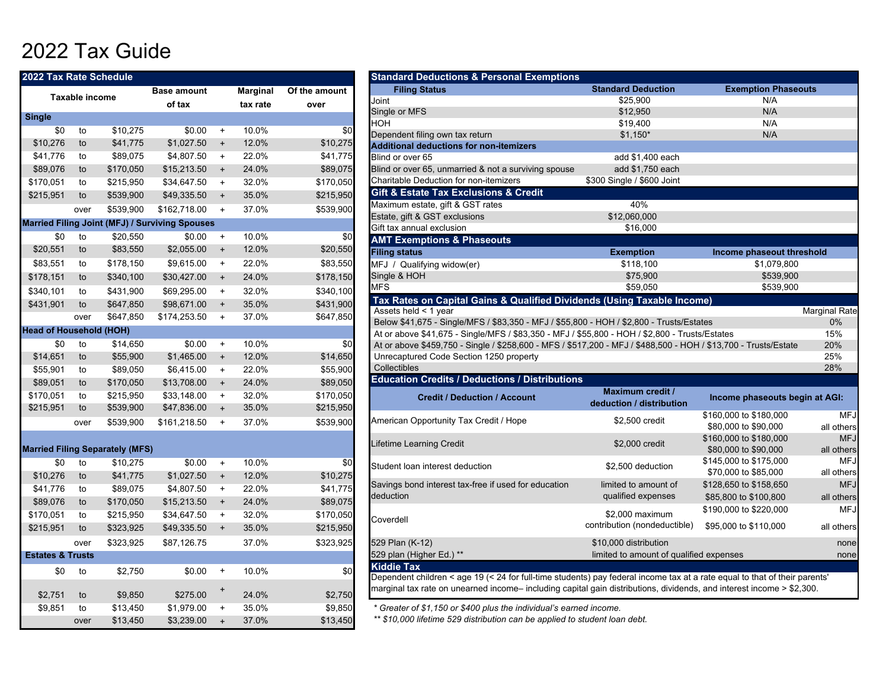## 2022 Tax Guide

| 2022 Tax Rate Schedule         |                |                                        |                                                       |                                  |                 |               | <b>Standard Deductions &amp; Personal Exemptions</b>                                                          |
|--------------------------------|----------------|----------------------------------------|-------------------------------------------------------|----------------------------------|-----------------|---------------|---------------------------------------------------------------------------------------------------------------|
|                                |                |                                        | <b>Base amount</b>                                    |                                  | <b>Marginal</b> | Of the amount | <b>Filing Status</b>                                                                                          |
|                                | Taxable income |                                        | of tax                                                |                                  | tax rate        | over          | Joint                                                                                                         |
| <b>Single</b>                  |                |                                        |                                                       |                                  |                 |               | Single or MFS                                                                                                 |
| \$0                            | to             | \$10,275                               | \$0.00                                                | $\ddot{}$                        | 10.0%           | \$0           | <b>HOH</b>                                                                                                    |
| \$10,276                       | to             | \$41,775                               | \$1,027.50                                            | $\ddot{}$                        | 12.0%           | \$10,275      | Dependent filing own tax return                                                                               |
| \$41,776                       | to             | \$89,075                               | \$4,807.50                                            | $\begin{array}{c} + \end{array}$ | 22.0%           | \$41,775      | <b>Additional deductions for non-itemizers</b><br>Blind or over 65                                            |
| \$89,076                       | to             | \$170,050                              | \$15,213.50                                           | $\begin{array}{c} + \end{array}$ | 24.0%           | \$89,075      | Blind or over 65, unmarried & not a surviving spouse                                                          |
| \$170,051                      | to             | \$215,950                              | \$34,647.50                                           | $\ddot{}$                        | 32.0%           | \$170,050     | Charitable Deduction for non-itemizers                                                                        |
| \$215,951                      | to             |                                        |                                                       |                                  | 35.0%           | \$215,950     | <b>Gift &amp; Estate Tax Exclusions &amp; Credit</b>                                                          |
|                                |                | \$539,900                              | \$49,335.50                                           | $\ddot{}$                        |                 |               | Maximum estate, gift & GST rates                                                                              |
|                                | over           | \$539,900                              | \$162,718.00                                          | $\ddot{}$                        | 37.0%           | \$539,900     | Estate, gift & GST exclusions                                                                                 |
|                                |                |                                        | <b>Married Filing Joint (MFJ) / Surviving Spouses</b> |                                  |                 |               | Gift tax annual exclusion                                                                                     |
| \$0                            | to             | \$20,550                               | \$0.00                                                | $\begin{array}{c} + \end{array}$ | 10.0%           | \$0           | <b>AMT Exemptions &amp; Phaseouts</b>                                                                         |
| \$20,551                       | to             | \$83,550                               | \$2,055.00                                            | $\ddot{}$                        | 12.0%           | \$20,550      | <b>Filing status</b>                                                                                          |
| \$83,551                       | to             | \$178,150                              | \$9,615.00                                            | $\ddot{}$                        | 22.0%           | \$83,550      | MFJ / Qualifying widow(er)                                                                                    |
| \$178,151                      | to             | \$340,100                              | \$30,427.00                                           | $\ddot{}$                        | 24.0%           | \$178,150     | Single & HOH                                                                                                  |
| \$340,101                      | to             | \$431,900                              | \$69,295.00                                           | $\ddot{}$                        | 32.0%           | \$340,100     | <b>MFS</b>                                                                                                    |
| \$431,901                      | to             | \$647,850                              | \$98,671.00                                           | $\ddot{}$                        | 35.0%           | \$431,900     | Tax Rates on Capital Gains & Qualified Divid                                                                  |
|                                | over           | \$647,850                              | \$174,253.50                                          | $\ddot{}$                        | 37.0%           | \$647,850     | Assets held < 1 year                                                                                          |
| <b>Head of Household (HOH)</b> |                |                                        |                                                       |                                  |                 |               | Below \$41,675 - Single/MFS / \$83,350 - MFJ / \$55,8                                                         |
| \$0                            | to             | \$14,650                               | \$0.00                                                |                                  | 10.0%           | \$0           | At or above \$41,675 - Single/MFS / \$83,350 - MFJ / !                                                        |
|                                |                |                                        | \$1,465.00                                            | $\ddot{}$                        |                 |               | At or above \$459,750 - Single / \$258,600 - MFS / \$5<br>Unrecaptured Code Section 1250 property             |
| \$14,651                       | to             | \$55,900                               |                                                       | $\begin{array}{c} + \end{array}$ | 12.0%           | \$14,650      | Collectibles                                                                                                  |
| \$55,901                       | to             | \$89,050                               | \$6,415.00                                            | $\begin{array}{c} + \end{array}$ | 22.0%           | \$55,900      | <b>Education Credits / Deductions / Distribution</b>                                                          |
| \$89,051                       | to             | \$170,050                              | \$13,708.00                                           | $\ddot{}$                        | 24.0%           | \$89,050      |                                                                                                               |
| \$170,051                      | to             | \$215,950                              | \$33,148.00                                           | $\ddot{}$                        | 32.0%           | \$170,050     | <b>Credit / Deduction / Account</b>                                                                           |
| \$215,951                      | to             | \$539,900                              | \$47,836.00                                           | $\ddot{}$                        | 35.0%           | \$215,950     |                                                                                                               |
|                                | over           | \$539,900                              | \$161,218.50                                          | $\ddot{}$                        | 37.0%           | \$539,900     | American Opportunity Tax Credit / Hope                                                                        |
|                                |                | <b>Married Filing Separately (MFS)</b> |                                                       |                                  |                 |               | Lifetime Learning Credit                                                                                      |
| \$0                            | to             | \$10,275                               | \$0.00                                                | $\begin{array}{c} + \end{array}$ | 10.0%           | \$0           | Student loan interest deduction                                                                               |
| \$10,276                       | to             | \$41,775                               | \$1,027.50                                            | $\begin{array}{c} + \end{array}$ | 12.0%           | \$10,275      |                                                                                                               |
| \$41,776                       | to             | \$89,075                               | \$4,807.50                                            | $\ddot{}$                        | 22.0%           | \$41,775      | Savings bond interest tax-free if used for education                                                          |
| \$89,076                       | to             | \$170,050                              | \$15,213.50                                           | $\begin{array}{c} + \end{array}$ | 24.0%           | \$89,075      | deduction                                                                                                     |
| \$170,051                      | to             | \$215,950                              | \$34,647.50                                           | $\ddot{}$                        | 32.0%           | \$170,050     |                                                                                                               |
| \$215,951                      | to             | \$323,925                              | \$49,335.50                                           | $\ddot{}$                        | 35.0%           | \$215,950     | Coverdell                                                                                                     |
|                                | over           | \$323,925                              | \$87,126.75                                           |                                  | 37.0%           | \$323,925     | 529 Plan (K-12)                                                                                               |
| <b>Estates &amp; Trusts</b>    |                |                                        |                                                       |                                  |                 |               | 529 plan (Higher Ed.) **                                                                                      |
| \$0                            | to             | \$2,750                                | \$0.00                                                | $\ddot{}$                        | 10.0%           | \$0           | <b>Kiddie Tax</b>                                                                                             |
|                                |                |                                        |                                                       |                                  |                 |               | Dependent children < age 19 (< 24 for full-time studer<br>marginal tax rate on unearned income-including capi |
| \$2,751                        | to             | \$9,850                                | \$275.00                                              | $\ddot{}$                        | 24.0%           | \$2,750       |                                                                                                               |
| \$9,851                        | to             | \$13,450                               | \$1,979.00                                            | $\ddot{}$                        | 35.0%           | \$9,850       | * Greater of \$1,150 or \$400 plus the individual's earn                                                      |
|                                | over           | \$13,450                               | \$3,239.00                                            | $\ddot{}$                        | 37.0%           | \$13,450      | ** \$10,000 lifetime 529 distribution can be applied to                                                       |

| <b>Standard Deductions &amp; Personal Exemptions</b>                                                                       |                                         |                                |                      |
|----------------------------------------------------------------------------------------------------------------------------|-----------------------------------------|--------------------------------|----------------------|
| <b>Filing Status</b>                                                                                                       | <b>Standard Deduction</b>               | <b>Exemption Phaseouts</b>     |                      |
| Joint                                                                                                                      | \$25,900                                | N/A                            |                      |
| Single or MFS                                                                                                              | \$12,950                                | N/A                            |                      |
| <b>HOH</b>                                                                                                                 | \$19,400                                | N/A                            |                      |
| Dependent filing own tax return                                                                                            | $$1,150*$                               | N/A                            |                      |
| <b>Additional deductions for non-itemizers</b>                                                                             |                                         |                                |                      |
| Blind or over 65                                                                                                           | add \$1,400 each                        |                                |                      |
| Blind or over 65, unmarried & not a surviving spouse                                                                       | add \$1,750 each                        |                                |                      |
| Charitable Deduction for non-itemizers                                                                                     | \$300 Single / \$600 Joint              |                                |                      |
| Gift & Estate Tax Exclusions & Credit                                                                                      |                                         |                                |                      |
| Maximum estate, gift & GST rates                                                                                           | 40%                                     |                                |                      |
| Estate, gift & GST exclusions                                                                                              | \$12,060,000                            |                                |                      |
| Gift tax annual exclusion                                                                                                  | \$16.000                                |                                |                      |
| <b>AMT Exemptions &amp; Phaseouts</b>                                                                                      |                                         |                                |                      |
| <b>Filing status</b>                                                                                                       | <b>Exemption</b>                        | Income phaseout threshold      |                      |
| MFJ / Qualifying widow(er)                                                                                                 | \$118,100                               | \$1,079,800                    |                      |
| Single & HOH                                                                                                               | \$75,900                                | \$539,900                      |                      |
| <b>MFS</b>                                                                                                                 | \$59,050                                | \$539,900                      |                      |
|                                                                                                                            |                                         |                                |                      |
| Tax Rates on Capital Gains & Qualified Dividends (Using Taxable Income)                                                    |                                         |                                |                      |
| Assets held < 1 year                                                                                                       |                                         |                                | <b>Marginal Rate</b> |
| Below \$41,675 - Single/MFS / \$83,350 - MFJ / \$55,800 - HOH / \$2,800 - Trusts/Estates                                   |                                         |                                | 0%                   |
| At or above \$41,675 - Single/MFS / \$83,350 - MFJ / \$55,800 - HOH / \$2,800 - Trusts/Estates                             |                                         |                                | 15%                  |
| At or above \$459,750 - Single / \$258,600 - MFS / \$517,200 - MFJ / \$488,500 - HOH / \$13,700 - Trusts/Estate            |                                         |                                | 20%                  |
| Unrecaptured Code Section 1250 property<br>Collectibles                                                                    |                                         |                                | 25%                  |
| <b>Education Credits / Deductions / Distributions</b>                                                                      |                                         |                                | 28%                  |
|                                                                                                                            | <b>Maximum credit /</b>                 |                                |                      |
| <b>Credit / Deduction / Account</b>                                                                                        | deduction / distribution                | Income phaseouts begin at AGI: |                      |
| American Opportunity Tax Credit / Hope                                                                                     | \$2,500 credit                          | \$160,000 to \$180,000         | <b>MFJ</b>           |
|                                                                                                                            |                                         | \$80,000 to \$90,000           | all others           |
| Lifetime Learning Credit                                                                                                   | \$2,000 credit                          | \$160,000 to \$180,000         | <b>MFJ</b>           |
|                                                                                                                            |                                         | \$80,000 to \$90,000           | all others           |
| Student loan interest deduction                                                                                            | \$2,500 deduction                       | \$145,000 to \$175,000         | <b>MFJ</b>           |
|                                                                                                                            |                                         | \$70,000 to \$85,000           | all others           |
| Savings bond interest tax-free if used for education                                                                       | limited to amount of                    | \$128,650 to \$158,650         | <b>MFJ</b>           |
| deduction                                                                                                                  | qualified expenses                      | \$85,800 to \$100,800          | all others           |
| Coverdell                                                                                                                  | \$2,000 maximum                         | \$190,000 to \$220,000         | <b>MFJ</b>           |
|                                                                                                                            | contribution (nondeductible)            | \$95,000 to \$110,000          | all others           |
| 529 Plan (K-12)                                                                                                            | \$10,000 distribution                   |                                | none                 |
| 529 plan (Higher Ed.) **                                                                                                   | limited to amount of qualified expenses |                                | none                 |
| <b>Kiddie Tax</b>                                                                                                          |                                         |                                |                      |
| Dependent children < age 19 (< 24 for full-time students) pay federal income tax at a rate equal to that of their parents' |                                         |                                |                      |
| marginal tax rate on unearned income– including capital gain distributions, dividends, and interest income > \$2,300.      |                                         |                                |                      |
| * Greater of \$1,150 or \$400 plus the individual's earned income.                                                         |                                         |                                |                      |

*\*\* \$10,000 lifetime 529 distribution can be applied to student loan debt.*